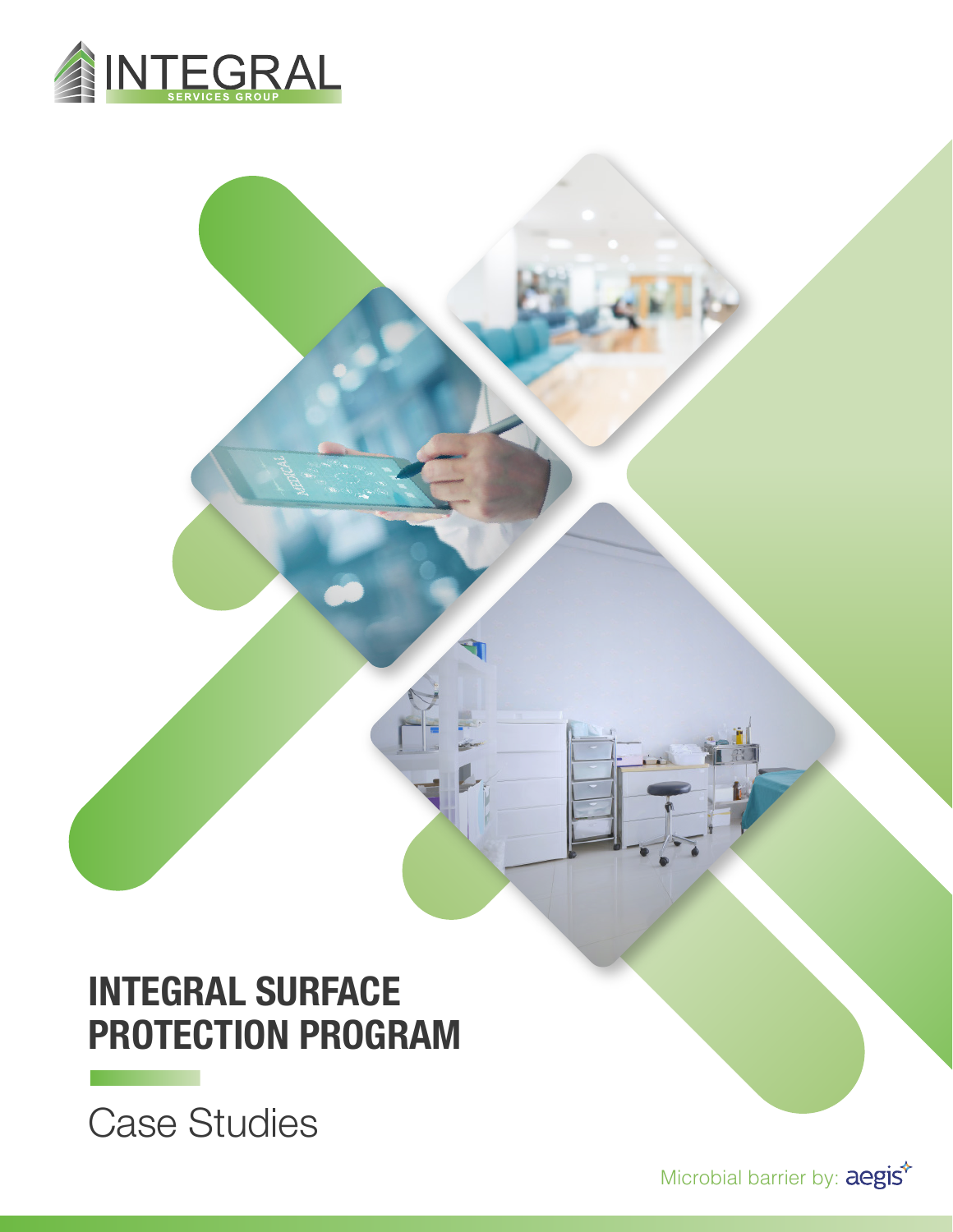

# **INTEGRAL SURFACE PROTECTION PROGRAM**

Case Studies

**The Community of the Community**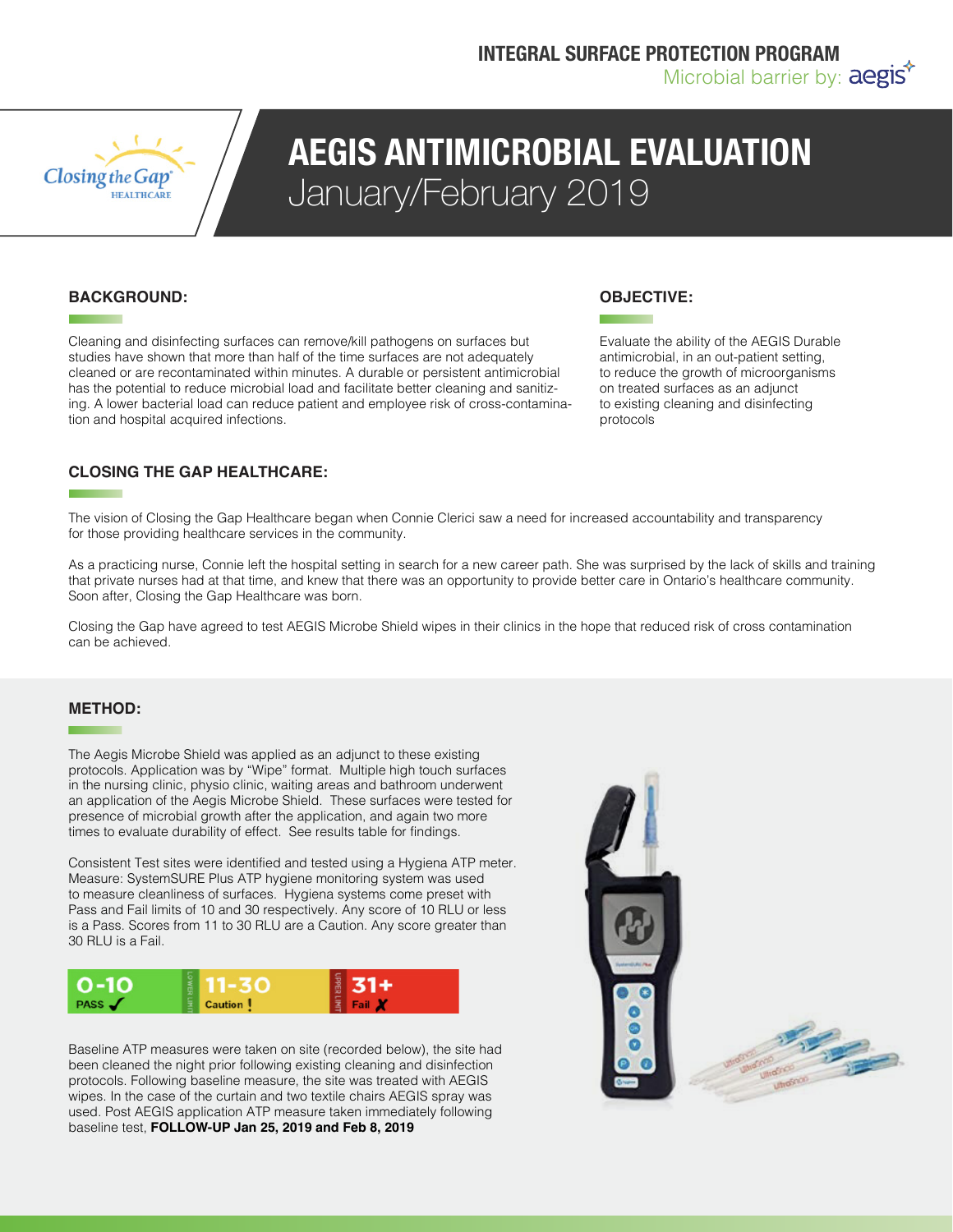

### **AEGIS ANTIMICROBIAL EVALUATION** January/February 2019

### **BACKGROUND:**

Cleaning and disinfecting surfaces can remove/kill pathogens on surfaces but studies have shown that more than half of the time surfaces are not adequately cleaned or are recontaminated within minutes. A durable or persistent antimicrobial has the potential to reduce microbial load and facilitate better cleaning and sanitizing. A lower bacterial load can reduce patient and employee risk of cross-contamination and hospital acquired infections.

### **OBJECTIVE:**

Evaluate the ability of the AEGIS Durable antimicrobial, in an out-patient setting, to reduce the growth of microorganisms on treated surfaces as an adjunct to existing cleaning and disinfecting protocols

### **CLOSING THE GAP HEALTHCARE:**

The vision of Closing the Gap Healthcare began when Connie Clerici saw a need for increased accountability and transparency for those providing healthcare services in the community.

As a practicing nurse, Connie left the hospital setting in search for a new career path. She was surprised by the lack of skills and training that private nurses had at that time, and knew that there was an opportunity to provide better care in Ontario's healthcare community. Soon after, Closing the Gap Healthcare was born.

Closing the Gap have agreed to test AEGIS Microbe Shield wipes in their clinics in the hope that reduced risk of cross contamination can be achieved.

#### **METHOD:**

The Aegis Microbe Shield was applied as an adjunct to these existing protocols. Application was by "Wipe" format. Multiple high touch surfaces in the nursing clinic, physio clinic, waiting areas and bathroom underwent an application of the Aegis Microbe Shield. These surfaces were tested for presence of microbial growth after the application, and again two more times to evaluate durability of effect. See results table for findings.

Consistent Test sites were identified and tested using a Hygiena ATP meter. Measure: SystemSURE Plus ATP hygiene monitoring system was used to measure cleanliness of surfaces. Hygiena systems come preset with Pass and Fail limits of 10 and 30 respectively. Any score of 10 RLU or less is a Pass. Scores from 11 to 30 RLU are a Caution. Any score greater than 30 RLU is a Fail.



Baseline ATP measures were taken on site (recorded below), the site had been cleaned the night prior following existing cleaning and disinfection protocols. Following baseline measure, the site was treated with AEGIS wipes. In the case of the curtain and two textile chairs AEGIS spray was used. Post AEGIS application ATP measure taken immediately following baseline test, **FOLLOW-UP Jan 25, 2019 and Feb 8, 2019** 

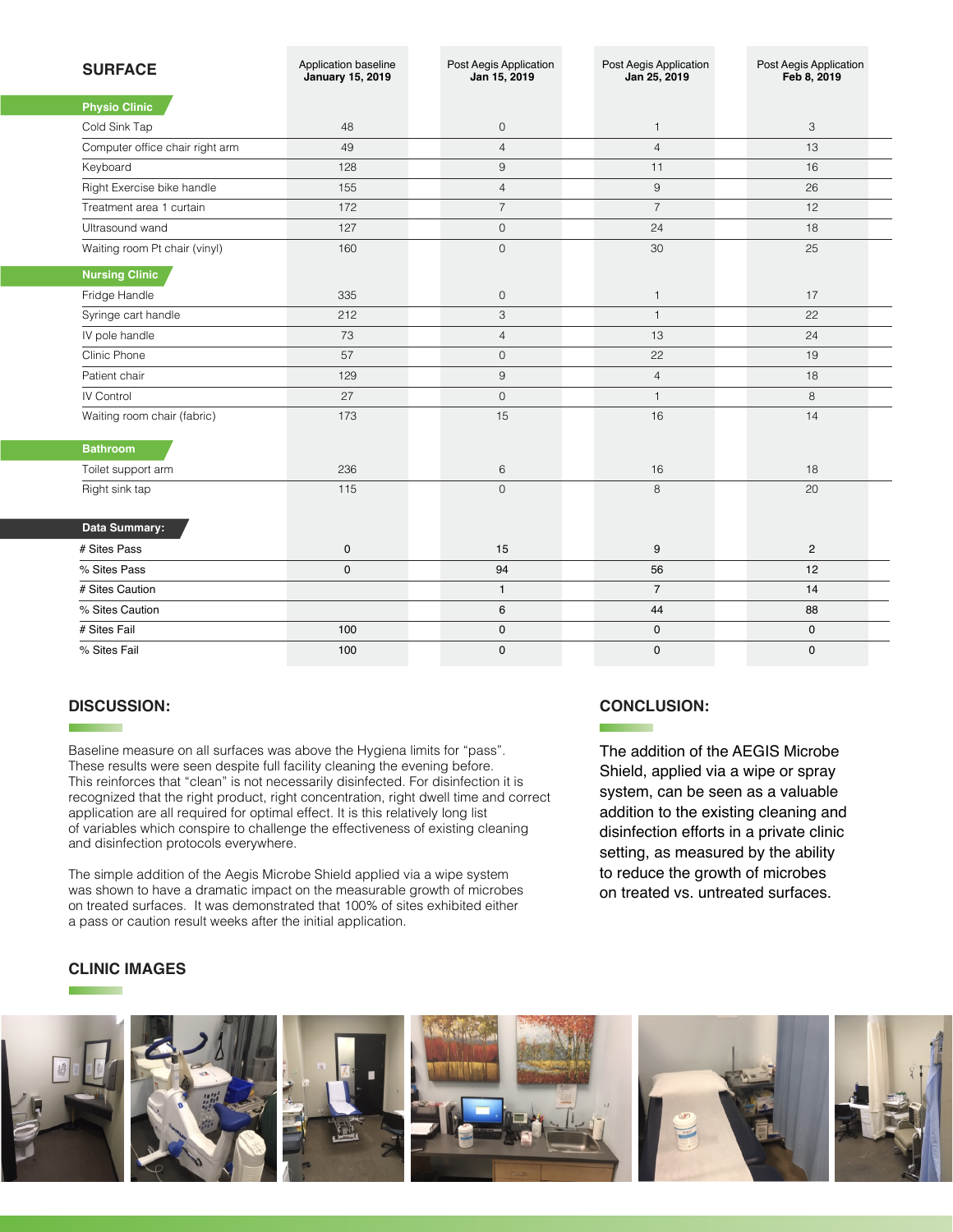| <b>SURFACE</b>                  | Application baseline<br><b>January 15, 2019</b> | Post Aegis Application<br>Jan 15, 2019 | Post Aegis Application<br>Jan 25, 2019 | Post Aegis Application<br>Feb 8, 2019 |
|---------------------------------|-------------------------------------------------|----------------------------------------|----------------------------------------|---------------------------------------|
| <b>Physio Clinic</b>            |                                                 |                                        |                                        |                                       |
| Cold Sink Tap                   | 48                                              | $\mathbf 0$                            | $\mathbf{1}$                           | 3                                     |
| Computer office chair right arm | 49                                              | $\overline{4}$                         | $\overline{4}$                         | 13                                    |
| Keyboard                        | 128                                             | $9\,$                                  | 11                                     | 16                                    |
| Right Exercise bike handle      | 155                                             | $\overline{4}$                         | $\,9$                                  | 26                                    |
| Treatment area 1 curtain        | 172                                             | $\overline{7}$                         | $\overline{7}$                         | 12                                    |
| Ultrasound wand                 | 127                                             | $\mathbf 0$                            | 24                                     | 18                                    |
| Waiting room Pt chair (vinyl)   | 160                                             | $\mathbf{O}$                           | 30                                     | 25                                    |
| <b>Nursing Clinic</b>           |                                                 |                                        |                                        |                                       |
| Fridge Handle                   | 335                                             | $\mathbf 0$                            | $\mathbf{1}$                           | 17                                    |
| Syringe cart handle             | 212                                             | 3                                      | $\mathbf{1}$                           | 22                                    |
| IV pole handle                  | 73                                              | $\overline{4}$                         | 13                                     | 24                                    |
| Clinic Phone                    | 57                                              | $\mathbf{O}$                           | 22                                     | 19                                    |
| Patient chair                   | 129                                             | $9\,$                                  | $\overline{4}$                         | 18                                    |
| IV Control                      | 27                                              | $\mathbf 0$                            | $\mathbf{1}$                           | 8                                     |
| Waiting room chair (fabric)     | 173                                             | 15                                     | 16                                     | 14                                    |
| <b>Bathroom</b>                 |                                                 |                                        |                                        |                                       |
| Toilet support arm              | 236                                             | 6                                      | 16                                     | 18                                    |
| Right sink tap                  | 115                                             | $\mathbf 0$                            | 8                                      | 20                                    |
| Data Summary:                   |                                                 |                                        |                                        |                                       |
| # Sites Pass                    | 0                                               | 15                                     | 9                                      | $\mathbf{2}$                          |
| % Sites Pass                    | $\mathbf 0$                                     | 94                                     | 56                                     | 12                                    |
| # Sites Caution                 |                                                 | $\mathbf{1}$                           | $\overline{7}$                         | 14                                    |
| % Sites Caution                 |                                                 | $\,6\,$                                | 44                                     | 88                                    |
| # Sites Fail                    | 100                                             | $\mathbf 0$                            | $\mathbf 0$                            | $\mathbf 0$                           |
| % Sites Fail                    | 100                                             | $\mathbf 0$                            | $\mathbf 0$                            | $\mathbf 0$                           |

### **DISCUSSION:**

Baseline measure on all surfaces was above the Hygiena limits for "pass". These results were seen despite full facility cleaning the evening before. This reinforces that "clean" is not necessarily disinfected. For disinfection it is recognized that the right product, right concentration, right dwell time and correct application are all required for optimal effect. It is this relatively long list of variables which conspire to challenge the effectiveness of existing cleaning and disinfection protocols everywhere.

The simple addition of the Aegis Microbe Shield applied via a wipe system was shown to have a dramatic impact on the measurable growth of microbes on treated surfaces. It was demonstrated that 100% of sites exhibited either a pass or caution result weeks after the initial application.

### **CONCLUSION:**

The addition of the AEGIS Microbe Shield, applied via a wipe or spray system, can be seen as a valuable addition to the existing cleaning and disinfection efforts in a private clinic setting, as measured by the ability to reduce the growth of microbes on treated vs. untreated surfaces.

### **CLINIC IMAGES**

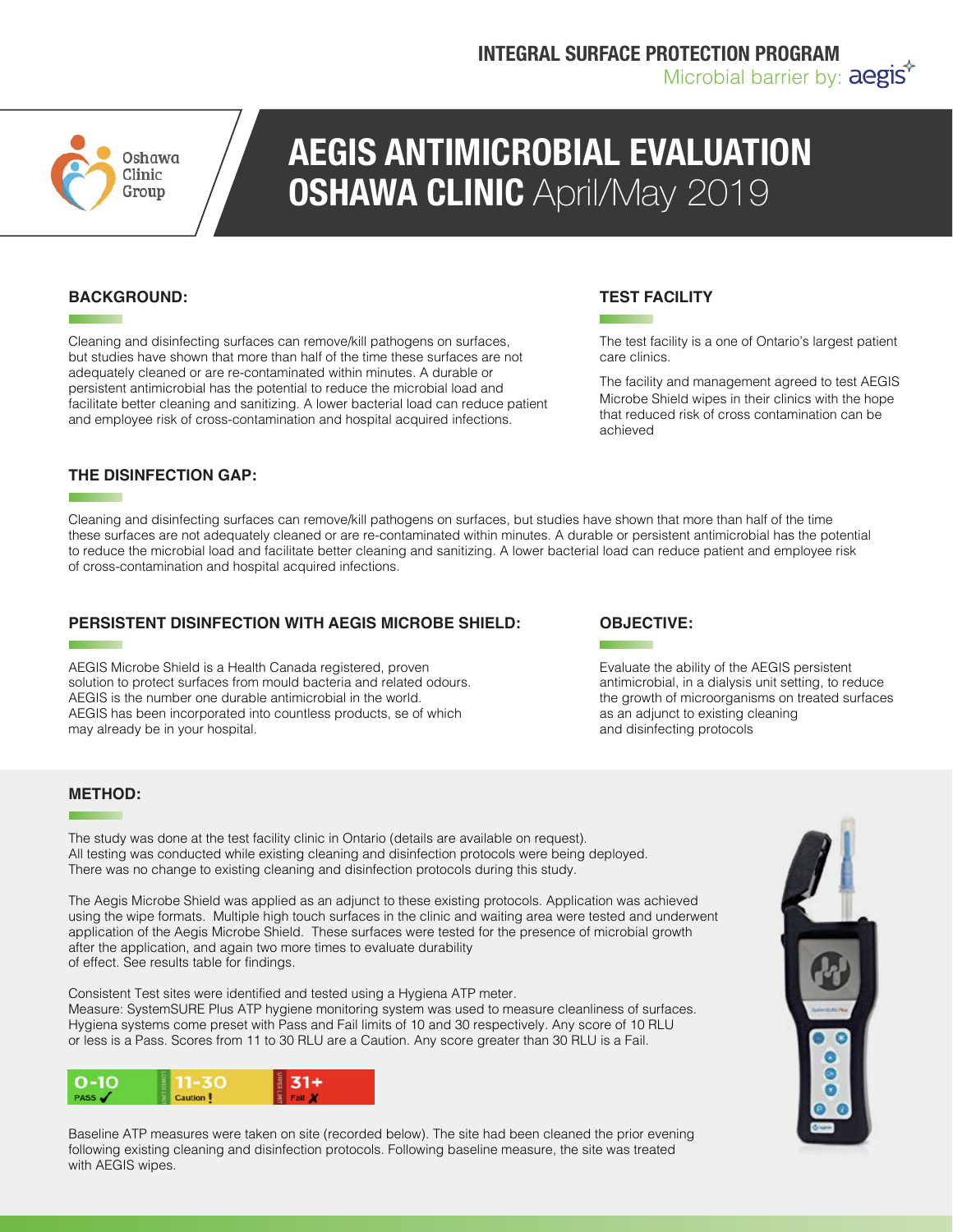

# **AEGIS ANTIMICROBIAL EVALUATION OSHAWA CLINIC** April/May 2019

### **BACKGROUND:**

Cleaning and disinfecting surfaces can remove/kill pathogens on surfaces, but studies have shown that more than half of the time these surfaces are not adequately cleaned or are re-contaminated within minutes. A durable or persistent antimicrobial has the potential to reduce the microbial load and facilitate better cleaning and sanitizing. A lower bacterial load can reduce patient and employee risk of cross-contamination and hospital acquired infections.

### **THE DISINFECTION GAP:**

Cleaning and disinfecting surfaces can remove/kill pathogens on surfaces, but studies have shown that more than half of the time these surfaces are not adequately cleaned or are re-contaminated within minutes. A durable or persistent antimicrobial has the potential to reduce the microbial load and facilitate better cleaning and sanitizing. A lower bacterial load can reduce patient and employee risk of cross-contamination and hospital acquired infections.

### **PERSISTENT DISINFECTION WITH AEGIS MICROBE SHIELD:**

AEGIS Microbe Shield is a Health Canada registered, proven solution to protect surfaces from mould bacteria and related odours. AEGIS is the number one durable antimicrobial in the world. AEGIS has been incorporated into countless products, se of which may already be in your hospital.

### **TEST FACILITY**

The test facility is a one of Ontario's largest patient care clinics.

The facility and management agreed to test AEGIS Microbe Shield wipes in their clinics with the hope that reduced risk of cross contamination can be achieved

### **OBJECTIVE:**

Evaluate the ability of the AEGIS persistent antimicrobial, in a dialysis unit setting, to reduce the growth of microorganisms on treated surfaces as an adjunct to existing cleaning and disinfecting protocols

### **METHOD:**

The study was done at the test facility clinic in Ontario (details are available on request). All testing was conducted while existing cleaning and disinfection protocols were being deployed. There was no change to existing cleaning and disinfection protocols during this study.

The Aegis Microbe Shield was applied as an adjunct to these existing protocols. Application was achieved using the wipe formats. Multiple high touch surfaces in the clinic and waiting area were tested and underwent application of the Aegis Microbe Shield. These surfaces were tested for the presence of microbial growth after the application, and again two more times to evaluate durability of effect. See results table for findings.

Consistent Test sites were identified and tested using a Hygiena ATP meter. Measure: SystemSURE Plus ATP hygiene monitoring system was used to measure cleanliness of surfaces. Hygiena systems come preset with Pass and Fail limits of 10 and 30 respectively. Any score of 10 RLU or less is a Pass. Scores from 11 to 30 RLU are a Caution. Any score greater than 30 RLU is a Fail.



Baseline ATP measures were taken on site (recorded below). The site had been cleaned the prior evening following existing cleaning and disinfection protocols. Following baseline measure, the site was treated with AEGIS wipes.

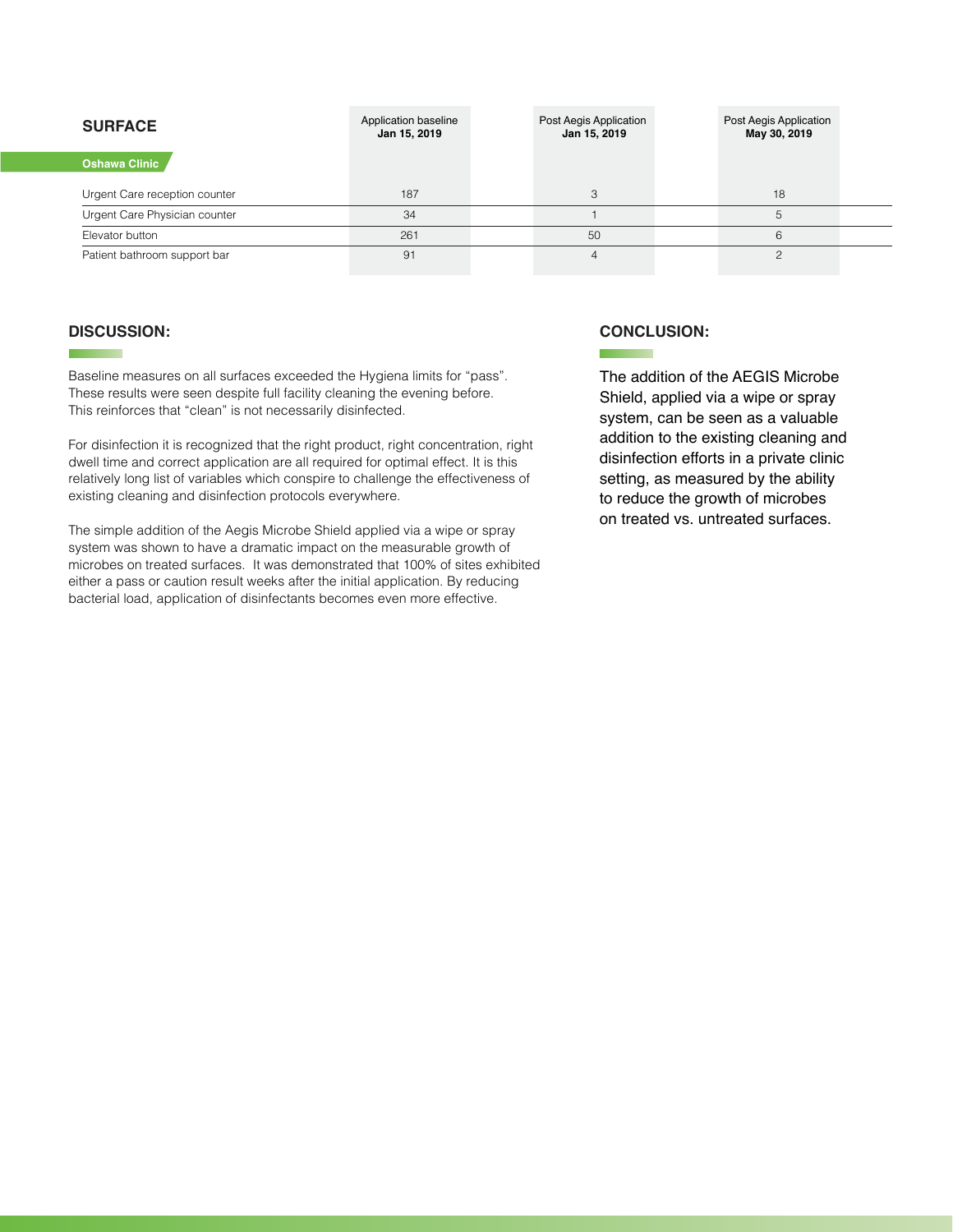| <b>SURFACE</b>                | Application baseline<br>Jan 15, 2019 | Post Aegis Application<br>Jan 15, 2019 | Post Aegis Application<br>May 30, 2019 |  |
|-------------------------------|--------------------------------------|----------------------------------------|----------------------------------------|--|
| <b>Oshawa Clinic</b>          |                                      |                                        |                                        |  |
| Urgent Care reception counter | 187                                  |                                        | 18                                     |  |
| Urgent Care Physician counter | 34                                   |                                        |                                        |  |
| Elevator button               | 261                                  | 50                                     |                                        |  |
| Patient bathroom support bar  | 91                                   |                                        |                                        |  |

### **DISCUSSION:**

**The Common** 

Baseline measures on all surfaces exceeded the Hygiena limits for "pass". These results were seen despite full facility cleaning the evening before. This reinforces that "clean" is not necessarily disinfected.

For disinfection it is recognized that the right product, right concentration, right dwell time and correct application are all required for optimal effect. It is this relatively long list of variables which conspire to challenge the effectiveness of existing cleaning and disinfection protocols everywhere.

The simple addition of the Aegis Microbe Shield applied via a wipe or spray system was shown to have a dramatic impact on the measurable growth of microbes on treated surfaces. It was demonstrated that 100% of sites exhibited either a pass or caution result weeks after the initial application. By reducing bacterial load, application of disinfectants becomes even more effective.

### **CONCLUSION:**

**Contract Contract** 

The addition of the AEGIS Microbe Shield, applied via a wipe or spray system, can be seen as a valuable addition to the existing cleaning and disinfection efforts in a private clinic setting, as measured by the ability to reduce the growth of microbes on treated vs. untreated surfaces.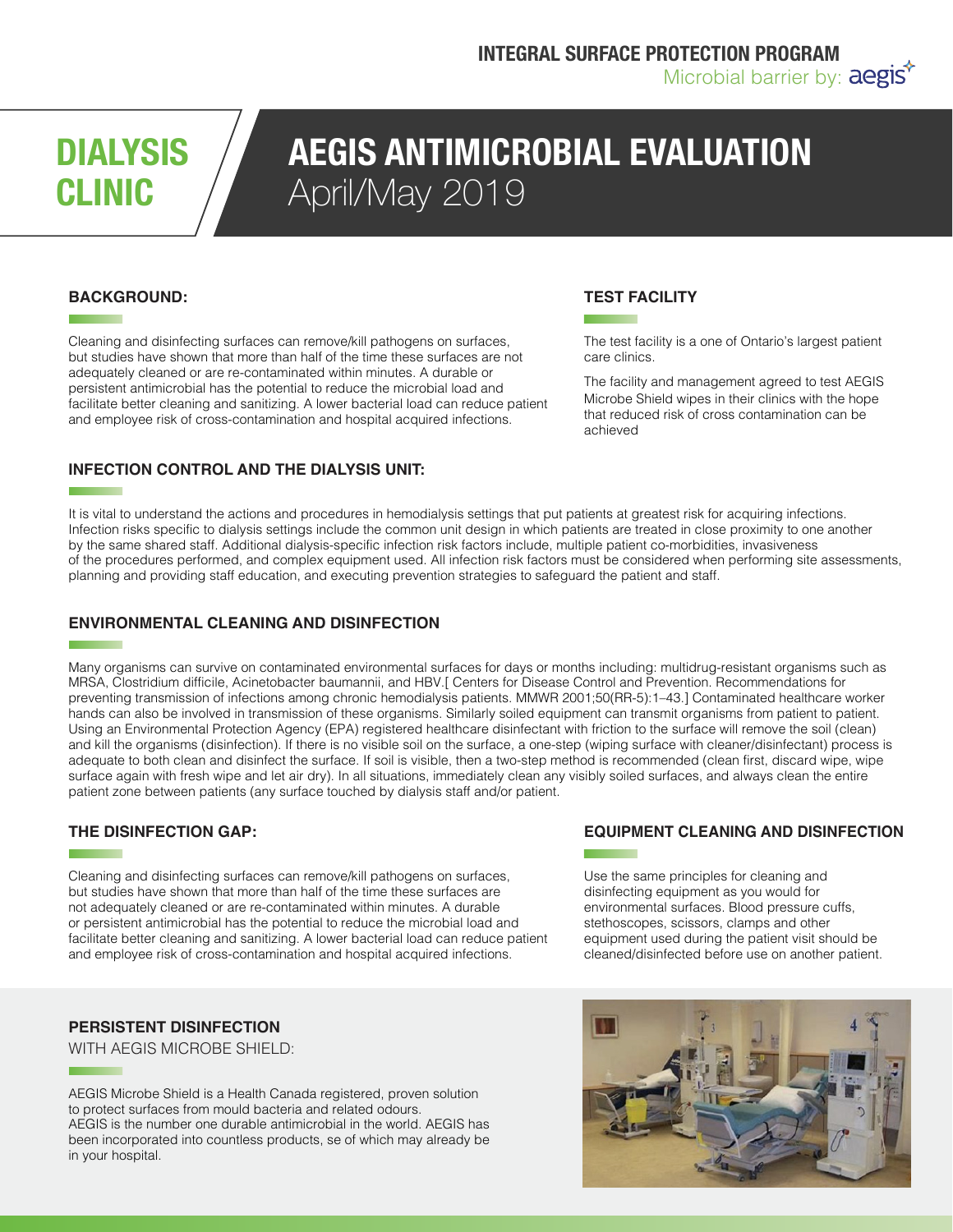# **DIALYSIS CLINIC**

## **AEGIS ANTIMICROBIAL EVALUATION** April/May 2019

### **BACKGROUND:**

Cleaning and disinfecting surfaces can remove/kill pathogens on surfaces, but studies have shown that more than half of the time these surfaces are not adequately cleaned or are re-contaminated within minutes. A durable or persistent antimicrobial has the potential to reduce the microbial load and facilitate better cleaning and sanitizing. A lower bacterial load can reduce patient and employee risk of cross-contamination and hospital acquired infections.

### **INFECTION CONTROL AND THE DIALYSIS UNIT:**

### **TEST FACILITY**

The test facility is a one of Ontario's largest patient care clinics.

The facility and management agreed to test AEGIS Microbe Shield wipes in their clinics with the hope that reduced risk of cross contamination can be achieved

It is vital to understand the actions and procedures in hemodialysis settings that put patients at greatest risk for acquiring infections. Infection risks specific to dialysis settings include the common unit design in which patients are treated in close proximity to one another by the same shared staff. Additional dialysis-specific infection risk factors include, multiple patient co-morbidities, invasiveness of the procedures performed, and complex equipment used. All infection risk factors must be considered when performing site assessments, planning and providing staff education, and executing prevention strategies to safeguard the patient and staff.

### **ENVIRONMENTAL CLEANING AND DISINFECTION**

Many organisms can survive on contaminated environmental surfaces for days or months including: multidrug-resistant organisms such as MRSA, Clostridium difficile, Acinetobacter baumannii, and HBV.[ Centers for Disease Control and Prevention. Recommendations for preventing transmission of infections among chronic hemodialysis patients. MMWR 2001;50(RR-5):1–43.] Contaminated healthcare worker hands can also be involved in transmission of these organisms. Similarly soiled equipment can transmit organisms from patient to patient. Using an Environmental Protection Agency (EPA) registered healthcare disinfectant with friction to the surface will remove the soil (clean) and kill the organisms (disinfection). If there is no visible soil on the surface, a one-step (wiping surface with cleaner/disinfectant) process is adequate to both clean and disinfect the surface. If soil is visible, then a two-step method is recommended (clean first, discard wipe, wipe surface again with fresh wipe and let air dry). In all situations, immediately clean any visibly soiled surfaces, and always clean the entire patient zone between patients (any surface touched by dialysis staff and/or patient.

### **THE DISINFECTION GAP:**

Cleaning and disinfecting surfaces can remove/kill pathogens on surfaces, but studies have shown that more than half of the time these surfaces are not adequately cleaned or are re-contaminated within minutes. A durable or persistent antimicrobial has the potential to reduce the microbial load and facilitate better cleaning and sanitizing. A lower bacterial load can reduce patient and employee risk of cross-contamination and hospital acquired infections.

### **PERSISTENT DISINFECTION**

WITH AEGIS MICROBE SHIELD:

AEGIS Microbe Shield is a Health Canada registered, proven solution to protect surfaces from mould bacteria and related odours. AEGIS is the number one durable antimicrobial in the world. AEGIS has been incorporated into countless products, se of which may already be in your hospital.

### **EQUIPMENT CLEANING AND DISINFECTION**

Use the same principles for cleaning and disinfecting equipment as you would for environmental surfaces. Blood pressure cuffs, stethoscopes, scissors, clamps and other equipment used during the patient visit should be cleaned/disinfected before use on another patient.

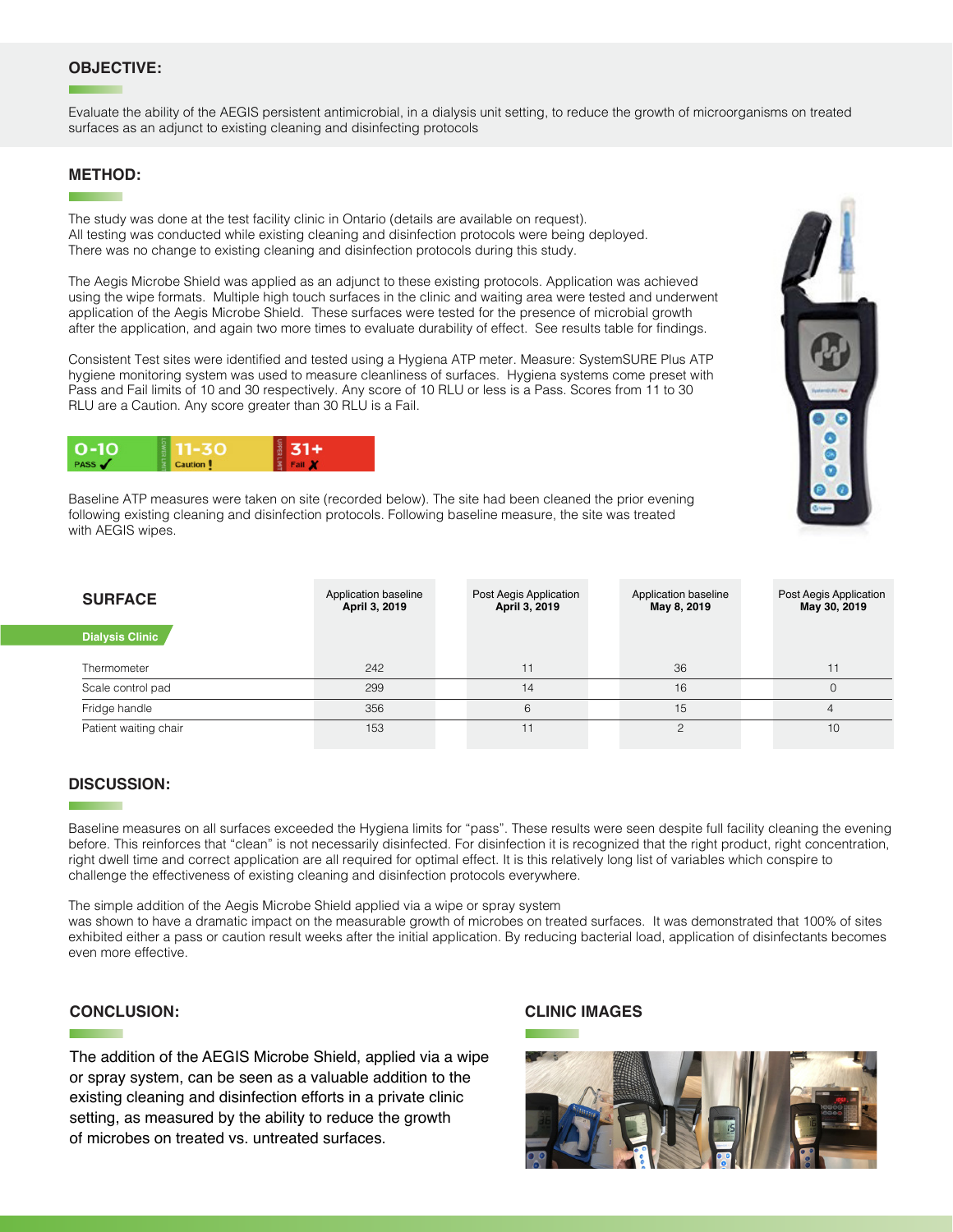### **OBJECTIVE:**

Evaluate the ability of the AEGIS persistent antimicrobial, in a dialysis unit setting, to reduce the growth of microorganisms on treated surfaces as an adjunct to existing cleaning and disinfecting protocols

#### **METHOD:**

The study was done at the test facility clinic in Ontario (details are available on request). All testing was conducted while existing cleaning and disinfection protocols were being deployed. There was no change to existing cleaning and disinfection protocols during this study.

The Aegis Microbe Shield was applied as an adjunct to these existing protocols. Application was achieved using the wipe formats. Multiple high touch surfaces in the clinic and waiting area were tested and underwent application of the Aegis Microbe Shield. These surfaces were tested for the presence of microbial growth after the application, and again two more times to evaluate durability of effect. See results table for findings.

Consistent Test sites were identified and tested using a Hygiena ATP meter. Measure: SystemSURE Plus ATP hygiene monitoring system was used to measure cleanliness of surfaces. Hygiena systems come preset with Pass and Fail limits of 10 and 30 respectively. Any score of 10 RLU or less is a Pass. Scores from 11 to 30 RLU are a Caution. Any score greater than 30 RLU is a Fail.



Baseline ATP measures were taken on site (recorded below). The site had been cleaned the prior evening following existing cleaning and disinfection protocols. Following baseline measure, the site was treated with AEGIS wipes.

| <b>SURFACE</b>         | Application baseline<br>April 3, 2019 | Post Aegis Application<br>April 3, 2019 | Application baseline<br>May 8, 2019 |  | Post Aegis Application<br>May 30, 2019 |
|------------------------|---------------------------------------|-----------------------------------------|-------------------------------------|--|----------------------------------------|
| <b>Dialysis Clinic</b> |                                       |                                         |                                     |  |                                        |
| Thermometer            | 242                                   | 11                                      | 36                                  |  | 11                                     |
| Scale control pad      | 299                                   | 14                                      | 16                                  |  |                                        |
| Fridge handle          | 356                                   | 6                                       | 15                                  |  |                                        |
| Patient waiting chair  | 153                                   | 11                                      |                                     |  | 10                                     |

### **DISCUSSION:**

Baseline measures on all surfaces exceeded the Hygiena limits for "pass". These results were seen despite full facility cleaning the evening before. This reinforces that "clean" is not necessarily disinfected. For disinfection it is recognized that the right product, right concentration, right dwell time and correct application are all required for optimal effect. It is this relatively long list of variables which conspire to challenge the effectiveness of existing cleaning and disinfection protocols everywhere.

The simple addition of the Aegis Microbe Shield applied via a wipe or spray system was shown to have a dramatic impact on the measurable growth of microbes on treated surfaces. It was demonstrated that 100% of sites exhibited either a pass or caution result weeks after the initial application. By reducing bacterial load, application of disinfectants becomes even more effective.

### **CONCLUSION:**

The addition of the AEGIS Microbe Shield, applied via a wipe or spray system, can be seen as a valuable addition to the existing cleaning and disinfection efforts in a private clinic setting, as measured by the ability to reduce the growth of microbes on treated vs. untreated surfaces.

#### **CLINIC IMAGES**